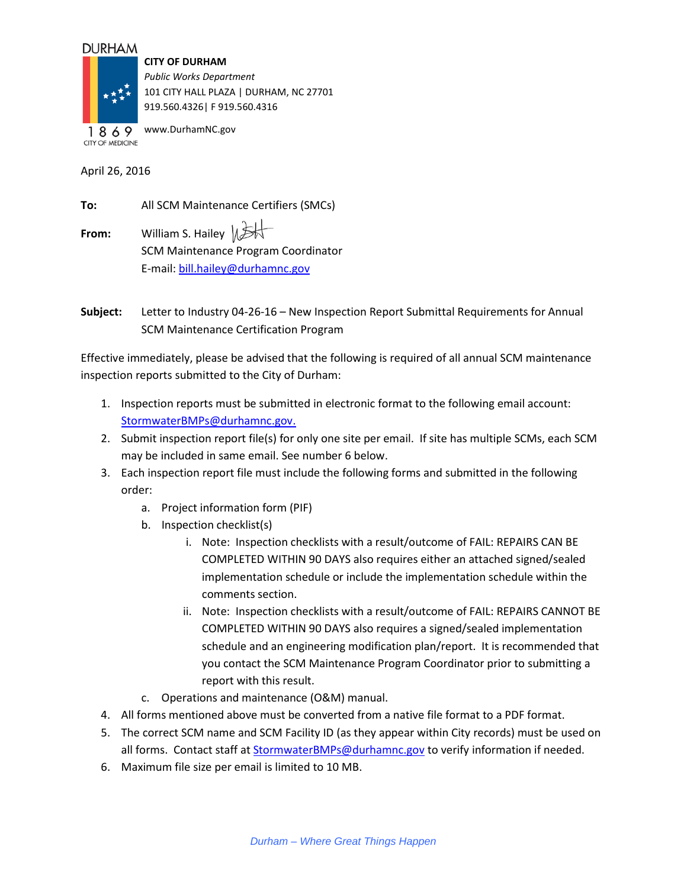## **DURHAM**



**CITY OF DURHAM** *Public Works Department* 101 CITY HALL PLAZA | DURHAM, NC 27701 919.560.4326| F 919.560.4316

www.DurhamNC.gov 1869 **CITY OF MEDICINE** 

April 26, 2016

| To:   | All SCM Maintenance Certifiers (SMCs)      |
|-------|--------------------------------------------|
| From: | William S. Hailey $\mathbb{R}$             |
|       | <b>SCM Maintenance Program Coordinator</b> |
|       | E-mail: bill.hailey@durhamnc.gov           |

**Subject:** Letter to Industry 04-26-16 – New Inspection Report Submittal Requirements for Annual SCM Maintenance Certification Program

Effective immediately, please be advised that the following is required of all annual SCM maintenance inspection reports submitted to the City of Durham:

- 1. Inspection reports must be submitted in electronic format to the following email account: [StormwaterBMPs@durhamnc.gov.](mailto:StormwaterBMPs@durhamnc.gov)
- 2. Submit inspection report file(s) for only one site per email. If site has multiple SCMs, each SCM may be included in same email. See number 6 below.
- 3. Each inspection report file must include the following forms and submitted in the following order:
	- a. Project information form (PIF)
	- b. Inspection checklist(s)
		- i. Note: Inspection checklists with a result/outcome of FAIL: REPAIRS CAN BE COMPLETED WITHIN 90 DAYS also requires either an attached signed/sealed implementation schedule or include the implementation schedule within the comments section.
		- ii. Note: Inspection checklists with a result/outcome of FAIL: REPAIRS CANNOT BE COMPLETED WITHIN 90 DAYS also requires a signed/sealed implementation schedule and an engineering modification plan/report. It is recommended that you contact the SCM Maintenance Program Coordinator prior to submitting a report with this result.
	- c. Operations and maintenance (O&M) manual.
- 4. All forms mentioned above must be converted from a native file format to a PDF format.
- 5. The correct SCM name and SCM Facility ID (as they appear within City records) must be used on all forms. Contact staff at **StormwaterBMPs@durhamnc.gov** to verify information if needed.
- 6. Maximum file size per email is limited to 10 MB.